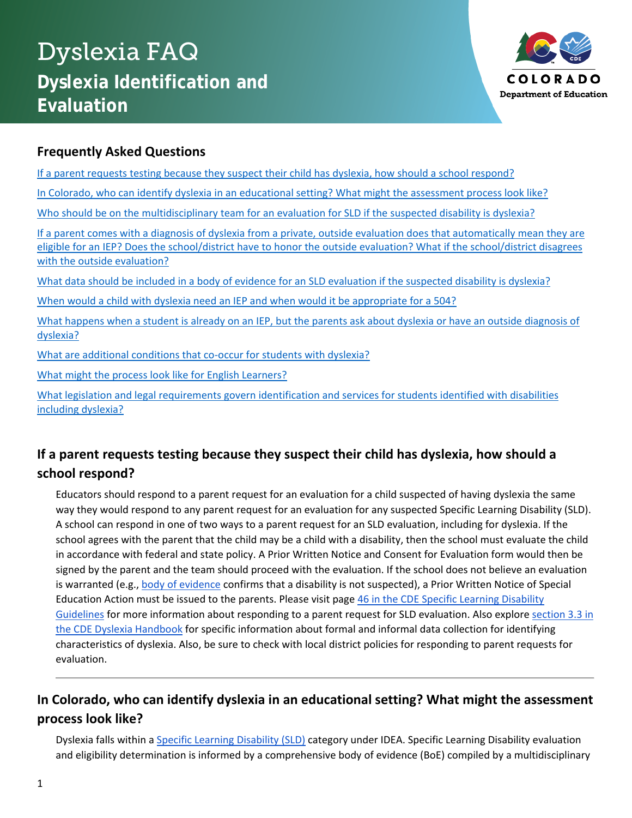# Dyslexia FAQ **Dyslexia Identification and Evaluation**



### **Frequently Asked Questions**

[If a parent requests testing because they suspect their child has dyslexia, how should a school respond?](#page-0-0) In Colorado, who can identify dyslexia in an educational setting? What might the assessment process look like? [Who should be on the multidisciplinary team for an evaluation for SLD if the](#page-1-0) suspected disability is dyslexia? [If a parent comes with a diagnosis of dyslexia from a private, outside evaluation does that automatically mean they are](#page-1-1)  [eligible for an IEP? Does the school/district have to honor the outside evaluation? What if the school/district disagrees](#page-1-1)  [with the outside evaluation?](#page-1-1) [What data should be included in a body of evidence for an SLD evaluation if the suspected disability is dyslexia?](#page-2-0) [When would a child with dyslexia need an IEP and when would it be appropriate for a 504?](#page-2-1) What happens when a student is already on an IEP, [but the parents ask about dyslexia or have an outside diagnosis of](#page-2-2)  [dyslexia?](#page-2-2) [What are additional conditions that co-occur for students with dyslexia?](#page-3-0) [What might the process look like for English Learners?](#page-3-1) [What legislation and legal requirements govern identification and services for students identified with disabilities](#page-3-2)  [including dyslexia?](#page-3-2)

## <span id="page-0-0"></span>**If a parent requests testing because they suspect their child has dyslexia, how should a school respond?**

Educators should respond to a parent request for an evaluation for a child suspected of having dyslexia the same way they would respond to any parent request for an evaluation for any suspected Specific Learning Disability (SLD). A school can respond in one of two ways to a parent request for an SLD evaluation, including for dyslexia. If the school agrees with the parent that the child may be a child with a disability, then the school must evaluate the child in accordance with federal and state policy. A Prior Written Notice and Consent for Evaluation form would then be signed by the parent and the team should proceed with the evaluation. If the school does not believe an evaluation is warranted (e.g., [body of evidence](https://www.cde.state.co.us/node/43709) confirms that a disability is not suspected), a Prior Written Notice of Special Education Action must be issued to the parents. Please visit page [46 in the CDE Specific Learning Disability](https://www.cde.state.co.us/cdesped/guidelines_sld_draft_2019-02-25)  [Guidelines](https://www.cde.state.co.us/cdesped/guidelines_sld_draft_2019-02-25) for more information about responding to a parent request for SLD evaluation. Also explore [section 3.3 in](https://www.cde.state.co.us/node/43711)  [the CDE Dyslexia Handbook](https://www.cde.state.co.us/node/43711) for specific information about formal and informal data collection for identifying characteristics of dyslexia. Also, be sure to check with local district policies for responding to parent requests for evaluation.

# **In Colorado, who can identify dyslexia in an educational setting? What might the assessment process look like?**

Dyslexia falls within a [Specific Learning Disability \(SLD\)](https://www.cde.state.co.us/sites/default/files/documents/cdesped/download/iep_forms/iep_detsld.doc) category under IDEA. Specific Learning Disability evaluation and eligibility determination is informed by a comprehensive body of evidence (BoE) compiled by a multidisciplinary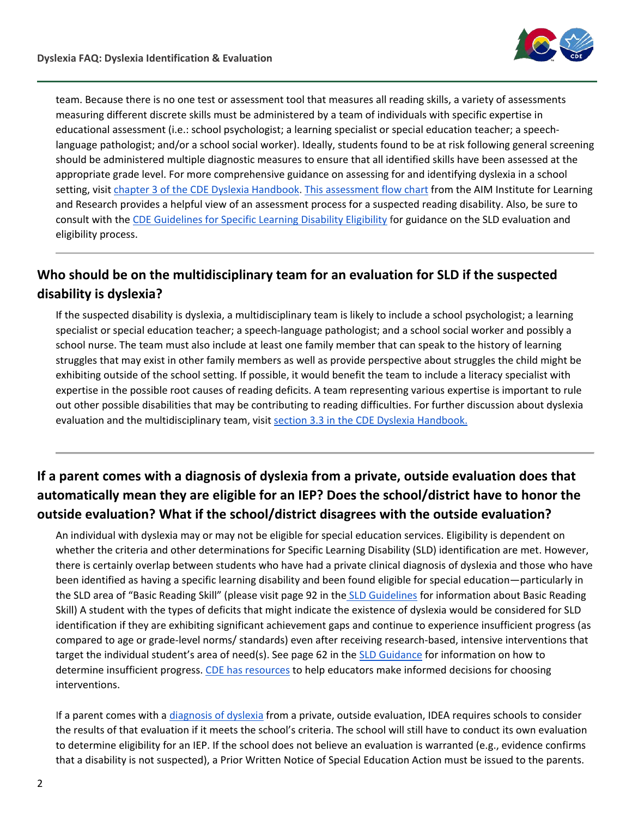

team. Because there is no one test or assessment tool that measures all reading skills, a variety of assessments measuring different discrete skills must be administered by a team of individuals with specific expertise in educational assessment (i.e.: school psychologist; a learning specialist or special education teacher; a speechlanguage pathologist; and/or a school social worker). Ideally, students found to be at risk following general screening should be administered multiple diagnostic measures to ensure that all identified skills have been assessed at the appropriate grade level. For more comprehensive guidance on assessing for and identifying dyslexia in a school setting, visit [chapter 3 of the CDE Dyslexia Handbook.](https://www.cde.state.co.us/node/43366) [This assessment flow chart](https://media.ride.ri.gov/EEIE/GuidanceSY20-21/ELA-AIM-Tool-Flowchart.pdf?fbclid=IwAR0tTD31gH22sgtzyxnVS1QxvcF-eY6E1xHdbZDk1-8Uz58Zndz9W3TjzCE&fbclid=IwAR0tTD31gH22sgtzyxnVS1QxvcF-eY6E1xHdbZDk1-8Uz58Zndz9W3TjzCE) from the AIM Institute for Learning and Research provides a helpful view of an assessment process for a suspected reading disability. Also, be sure to consult with the [CDE Guidelines for Specific Learning Disability Eligibility](https://www.cde.state.co.us/cdesped/guidelines_sld_draft_2019-02-25) for guidance on the SLD evaluation and eligibility process.

## <span id="page-1-0"></span>**Who should be on the multidisciplinary team for an evaluation for SLD if the suspected disability is dyslexia?**

If the suspected disability is dyslexia, a multidisciplinary team is likely to include a school psychologist; a learning specialist or special education teacher; a speech-language pathologist; and a school social worker and possibly a school nurse. The team must also include at least one family member that can speak to the history of learning struggles that may exist in other family members as well as provide perspective about struggles the child might be exhibiting outside of the school setting. If possible, it would benefit the team to include a literacy specialist with expertise in the possible root causes of reading deficits. A team representing various expertise is important to rule out other possible disabilities that may be contributing to reading difficulties. For further discussion about dyslexia evaluation and the multidisciplinary team, visit section 3.3 in the CDE Dyslexia Handbook.

# <span id="page-1-1"></span>**If a parent comes with a diagnosis of dyslexia from a private, outside evaluation does that automatically mean they are eligible for an IEP? Does the school/district have to honor the outside evaluation? What if the school/district disagrees with the outside evaluation?**

An individual with dyslexia may or may not be eligible for special education services. Eligibility is dependent on whether the criteria and other determinations for Specific Learning Disability (SLD) identification are met. However, there is certainly overlap between students who have had a private clinical diagnosis of dyslexia and those who have been identified as having a specific learning disability and been found eligible for special education—particularly in the SLD area of "Basic Reading Skill" (please visit page 92 in the [SLD Guidelines](https://www.cde.state.co.us/cdesped/guidelines_sld_draft_2019-02-25) for information about Basic Reading Skill) A student with the types of deficits that might indicate the existence of dyslexia would be considered for SLD identification if they are exhibiting significant achievement gaps and continue to experience insufficient progress (as compared to age or grade-level norms/ standards) even after receiving research-based, intensive interventions that target the individual student's area of need(s). See page 62 in the [SLD Guidance](https://www.cde.state.co.us/cdesped/guidelines_sld_draft_2019-02-25) for information on how to determine insufficient progress. [CDE has resources](https://www.cde.state.co.us/coloradoliteracy/selectingevidencebasedprograms) to help educators make informed decisions for choosing interventions.

If a parent comes with a [diagnosis of dyslexia](http://www.cde.state.co.us/cdesped/ta_clinicaldiagnoses) from a private, outside evaluation, IDEA requires schools to consider the results of that evaluation if it meets the school's criteria. The school will still have to conduct its own evaluation to determine eligibility for an IEP. If the school does not believe an evaluation is warranted (e.g., evidence confirms that a disability is not suspected), a Prior Written Notice of Special Education Action must be issued to the parents.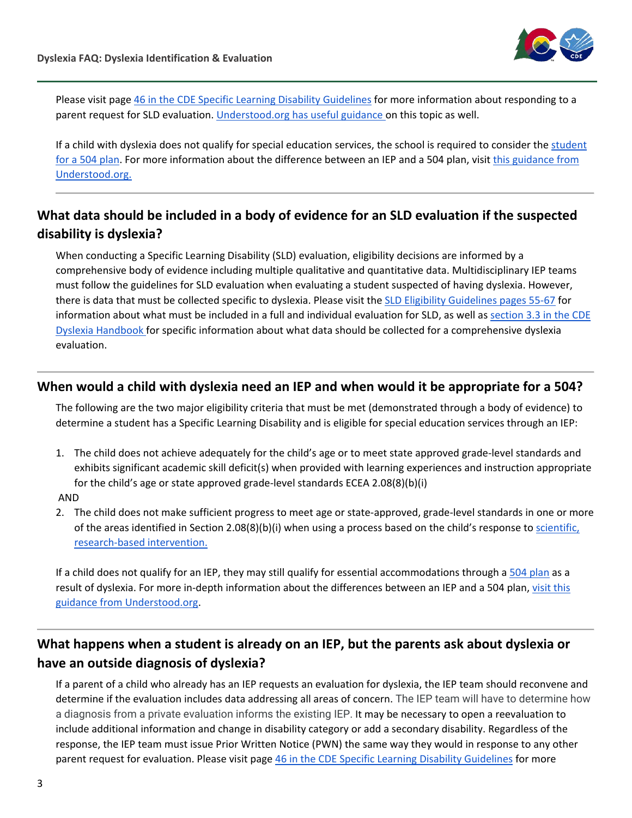

Please visit page [46 in the CDE Specific Learning Disability Guidelines](https://www.cde.state.co.us/cdesped/guidelines_sld_draft_2019-02-25) for more information about responding to a parent request for SLD evaluation. *Understood.org has useful guidance on this topic as well.* 

If a child with dyslexia does not qualify for special education services, the school is required to consider the student [for a 504 plan.](https://www2.ed.gov/about/offices/list/ocr/docs/504-resource-guide-201612.pdf) For more information about the difference between an IEP and a 504 plan, visit [this guidance from](https://www.understood.org/articles/en/the-difference-between-ieps-and-504-plans)  [Understood.org.](https://www.understood.org/articles/en/the-difference-between-ieps-and-504-plans)

### <span id="page-2-0"></span>**What data should be included in a body of evidence for an SLD evaluation if the suspected disability is dyslexia?**

When conducting a Specific Learning Disability (SLD) evaluation, eligibility decisions are informed by a comprehensive body of evidence including multiple qualitative and quantitative data. Multidisciplinary IEP teams must follow the guidelines for SLD evaluation when evaluating a student suspected of having dyslexia. However, there is data that must be collected specific to dyslexia. Please visit the [SLD Eligibility Guidelines pages 55-67](https://www.cde.state.co.us/cdesped/guidelines_sld_draft_2019-02-25) for information about what must be included in a full and individual evaluation for SLD, as well as [section 3.3 in the CDE](https://www.cde.state.co.us/node/43711)  [Dyslexia Handbook f](https://www.cde.state.co.us/node/43711)or specific information about what data should be collected for a comprehensive dyslexia evaluation.

### <span id="page-2-1"></span>**When would a child with dyslexia need an IEP and when would it be appropriate for a 504?**

The following are the two major eligibility criteria that must be met (demonstrated through a body of evidence) to determine a student has a Specific Learning Disability and is eligible for special education services through an IEP:

1. The child does not achieve adequately for the child's age or to meet state approved grade-level standards and exhibits significant academic skill deficit(s) when provided with learning experiences and instruction appropriate for the child's age or state approved grade-level standards ECEA 2.08(8)(b)(i)

#### AND

2. The child does not make sufficient progress to meet age or state-approved, grade-level standards in one or more of the areas identified in Section 2.08(8)(b)(i) when using a process based on the child's response to [scientific,](https://www.cde.state.co.us/coloradoliteracy/selectingevidencebasedprograms)  [research-based intervention.](https://www.cde.state.co.us/coloradoliteracy/selectingevidencebasedprograms)

If a child does not qualify for an IEP, they may still qualify for essential accommodations through a [504 plan](https://www2.ed.gov/about/offices/list/ocr/docs/504-resource-guide-201612.pdf) as a result of dyslexia. For more in-depth information about the differences between an IEP and a 504 plan, [visit this](https://www.understood.org/articles/en/the-difference-between-ieps-and-504-plans)  [guidance from Understood.org.](https://www.understood.org/articles/en/the-difference-between-ieps-and-504-plans)

## <span id="page-2-2"></span>**What happens when a student is already on an IEP, but the parents ask about dyslexia or have an outside diagnosis of dyslexia?**

If a parent of a child who already has an IEP requests an evaluation for dyslexia, the IEP team should reconvene and determine if the evaluation includes data addressing all areas of concern. The IEP team will have to determine how a diagnosis from a private evaluation informs the existing IEP. It may be necessary to open a reevaluation to include additional information and change in disability category or add a secondary disability. Regardless of the response, the IEP team must issue Prior Written Notice (PWN) the same way they would in response to any other parent request for evaluation. Please visit page [46 in the CDE Specific Learning Disability Guidelines](https://www.cde.state.co.us/cdesped/guidelines_sld_draft_2019-02-25) for more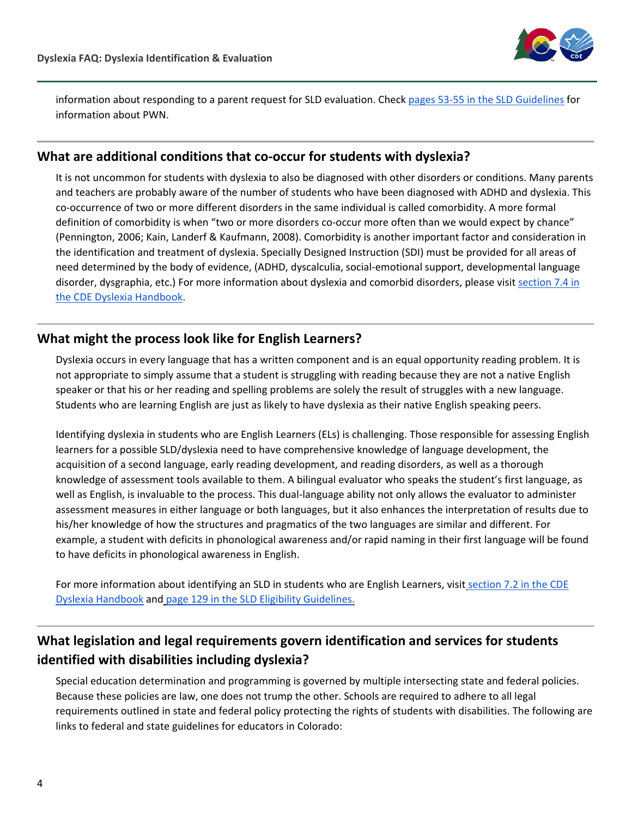

information about responding to a parent request for SLD evaluation. Check [pages 53-55 in the SLD Guidelines](https://www.cde.state.co.us/cdesped/guidelines_sld_draft_2019-02-25) for information about PWN.

#### <span id="page-3-0"></span>**What are additional conditions that co-occur for students with dyslexia?**

It is not uncommon for students with dyslexia to also be diagnosed with other disorders or conditions. Many parents and teachers are probably aware of the number of students who have been diagnosed with ADHD and dyslexia. This co-occurrence of two or more different disorders in the same individual is called comorbidity. A more formal definition of comorbidity is when "two or more disorders co-occur more often than we would expect by chance" (Pennington, 2006; Kain, Landerf & Kaufmann, 2008). Comorbidity is another important factor and consideration in the identification and treatment of dyslexia. Specially Designed Instruction (SDI) must be provided for all areas of need determined by the body of evidence, (ADHD, dyscalculia, social-emotional support, developmental language disorder, dysgraphia, etc.) For more information about dyslexia and comorbid disorders, please visit [section 7.4 in](https://www.cde.state.co.us/node/43723)  [the CDE Dyslexia Handbook.](https://www.cde.state.co.us/node/43723)

#### <span id="page-3-1"></span>**What might the process look like for English Learners?**

Dyslexia occurs in every language that has a written component and is an equal opportunity reading problem. It is not appropriate to simply assume that a student is struggling with reading because they are not a native English speaker or that his or her reading and spelling problems are solely the result of struggles with a new language. Students who are learning English are just as likely to have dyslexia as their native English speaking peers.

Identifying dyslexia in students who are English Learners (ELs) is challenging. Those responsible for assessing English learners for a possible SLD/dyslexia need to have comprehensive knowledge of language development, the acquisition of a second language, early reading development, and reading disorders, as well as a thorough knowledge of assessment tools available to them. A bilingual evaluator who speaks the student's first language, as well as English, is invaluable to the process. This dual-language ability not only allows the evaluator to administer assessment measures in either language or both languages, but it also enhances the interpretation of results due to his/her knowledge of how the structures and pragmatics of the two languages are similar and different. For example, a student with deficits in phonological awareness and/or rapid naming in their first language will be found to have deficits in phonological awareness in English.

For more information about identifying an SLD in students who are English Learners, visit [section 7.2 in the CDE](https://www.cde.state.co.us/node/43721)  [Dyslexia Handbook](https://www.cde.state.co.us/node/43721) and [page 129 in the SLD Eligibility Guidelines.](https://www.cde.state.co.us/cdesped/guidelines_sld_draft_2019-02-25)

## <span id="page-3-2"></span>**What legislation and legal requirements govern identification and services for students identified with disabilities including dyslexia?**

Special education determination and programming is governed by multiple intersecting state and federal policies. Because these policies are law, one does not trump the other. Schools are required to adhere to all legal requirements outlined in state and federal policy protecting the rights of students with disabilities. The following are links to federal and state guidelines for educators in Colorado: